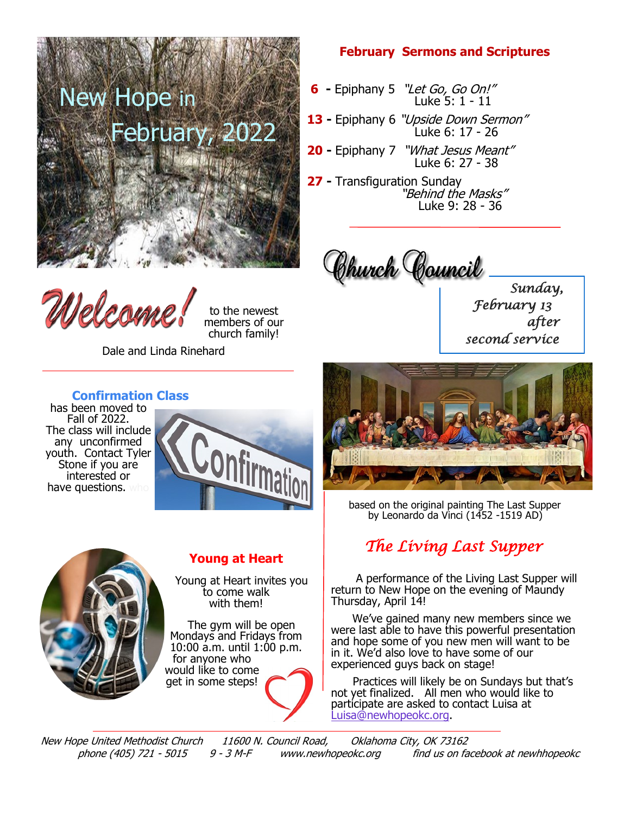

Welcom

to the newest members of our church family!

Dale and Linda Rinehard

## **February Sermons and Scriptures**

- **6 -** Epiphany 5 "Let Go, Go On!" Luke 5: 1 - 11
- **13 -** Epiphany 6 "Upside Down Sermon" Luke 6: 17 - 26
- **20 -** Epiphany 7 "What Jesus Meant" Luke 6: 27 - 38
- **27 -** Transfiguration Sunday "Behind the Masks" Luke 9: 28 - 36

Chunch Council

*Sunday, February 13 after second service*



 based on the original painting The Last Supper by Leonardo da Vinci (1452 -1519 AD)

## *The Living Last Supper*

 A performance of the Living Last Supper will return to New Hope on the evening of Maundy Thursday, April 14!

 We've gained many new members since we were last able to have this powerful presentation and hope some of you new men will want to be in it. We'd also love to have some of our experienced guys back on stage!

 Practices will likely be on Sundays but that's not yet finalized. All men who would like to participate are asked to contact Luisa at [Luisa@newhopeokc.org.](mailto:Luisa@newhopeokc.org)

New Hope United Methodist Church 11600 N. Council Road, Oklahoma City, OK 73162 phone (405) 721 - 5015 9 - 3 M-F www.newhopeokc.org find us on facebook at newhhopeokc

## **Confirmation Class**

has been moved to Fall of 2022. The class will include any unconfirmed youth. Contact Tyler Stone if you are interested or have questions. who





## **Young at Heart**

 Young at Heart invites you to come walk with them!

 The gym will be open Mondays and Fridays from 10:00 a.m. until 1:00 p.m. for anyone who would like to come get in some steps!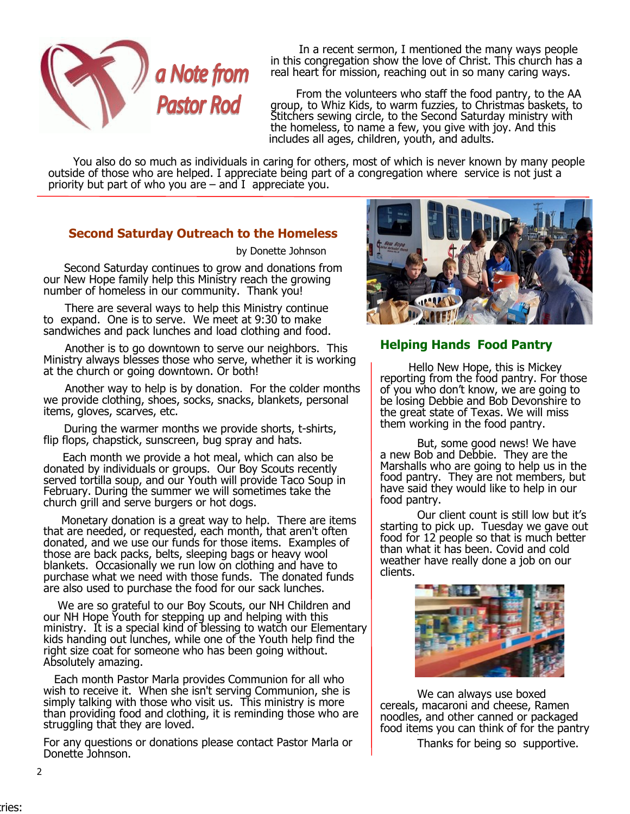

 In a recent sermon, I mentioned the many ways people in this congregation show the love of Christ. This church has a real heart for mission, reaching out in so many caring ways.

From the volunteers who staff the food pantry, to the AA<br>**Pastor Rod** group, to Whiz Kids, to warm fuzzies, to Christmas baskets, to group, to Whiz Kids, to warm fuzzies, to Christmas baskets, to Stitchers sewing circle, to the Second Saturday ministry with the homeless, to name a few, you give with joy. And this includes all ages, children, youth, and adults.

 You also do so much as individuals in caring for others, most of which is never known by many people outside of those who are helped. I appreciate being part of a congregation where service is not just a priority but part of who you are  $-$  and I appreciate you.

## **Second Saturday Outreach to the Homeless**

by Donette Johnson

 Second Saturday continues to grow and donations from our New Hope family help this Ministry reach the growing number of homeless in our community. Thank you!

 There are several ways to help this Ministry continue to expand. One is to serve. We meet at 9:30 to make sandwiches and pack lunches and load clothing and food.

 Another is to go downtown to serve our neighbors. This Ministry always blesses those who serve, whether it is working at the church or going downtown. Or both!

 Another way to help is by donation. For the colder months we provide clothing, shoes, socks, snacks, blankets, personal items, gloves, scarves, etc.

 During the warmer months we provide shorts, t-shirts, flip flops, chapstick, sunscreen, bug spray and hats.

 Each month we provide a hot meal, which can also be donated by individuals or groups. Our Boy Scouts recently served tortilla soup, and our Youth will provide Taco Soup in February. During the summer we will sometimes take the church grill and serve burgers or hot dogs.

 Monetary donation is a great way to help. There are items that are needed, or requested, each month, that aren't often donated, and we use our funds for those items. Examples of those are back packs, belts, sleeping bags or heavy wool blankets. Occasionally we run low on clothing and have to purchase what we need with those funds. The donated funds are also used to purchase the food for our sack lunches.

 We are so grateful to our Boy Scouts, our NH Children and our NH Hope Youth for stepping up and helping with this ministry. It is a special kind of blessing to watch our Elementary kids handing out lunches, while one of the Youth help find the right size coat for someone who has been going without. Absolutely amazing.

 Each month Pastor Marla provides Communion for all who wish to receive it. When she isn't serving Communion, she is simply talking with those who visit us. This ministry is more than providing food and clothing, it is reminding those who are struggling that they are loved.

For any questions or donations please contact Pastor Marla or Donette Johnson.



## **Helping Hands Food Pantry**

 Hello New Hope, this is Mickey reporting from the food pantry. For those of you who don't know, we are going to be losing Debbie and Bob Devonshire to the great state of Texas. We will miss them working in the food pantry.

But, some good news! We have a new Bob and Debbie. They are the Marshalls who are going to help us in the food pantry. They are not members, but have said they would like to help in our food pantry.

 Our client count is still low but it's starting to pick up. Tuesday we gave out food for 12 people so that is much better than what it has been. Covid and cold weather have really done a job on our clients.



We can always use boxed cereals, macaroni and cheese, Ramen noodles, and other canned or packaged food items you can think of for the pantry

Thanks for being so supportive.

2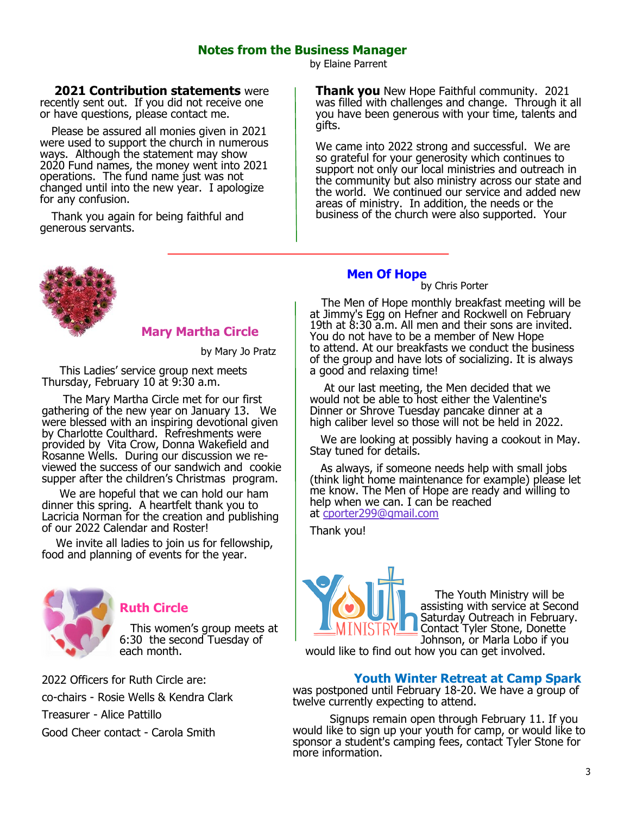## **Notes from the Business Manager**

by Elaine Parrent

 **2021 Contribution statements** were recently sent out. If you did not receive one or have questions, please contact me.

 Please be assured all monies given in 2021 were used to support the church in numerous ways. Although the statement may show 2020 Fund names, the money went into 2021 operations. The fund name just was not changed until into the new year. I apologize for any confusion.

 Thank you again for being faithful and generous servants.

### **Mary Martha Circle**

by Mary Jo Pratz

 This Ladies' service group next meets Thursday, February 10 at 9:30 a.m.

 The Mary Martha Circle met for our first gathering of the new year on January 13. We were blessed with an inspiring devotional given by Charlotte Coulthard. Refreshments were provided by Vita Crow, Donna Wakefield and Rosanne Wells. During our discussion we reviewed the success of our sandwich and cookie supper after the children's Christmas program.

 We are hopeful that we can hold our ham dinner this spring. A heartfelt thank you to Lacricia Norman for the creation and publishing of our 2022 Calendar and Roster!

 We invite all ladies to join us for fellowship, food and planning of events for the year.



## **Ruth Circle**

 This women's group meets at 6:30 the second Tuesday of each month.

2022 Officers for Ruth Circle are: co-chairs - Rosie Wells & Kendra Clark Treasurer - Alice Pattillo Good Cheer contact - Carola Smith

**Thank you** New Hope Faithful community. 2021 was filled with challenges and change. Through it all you have been generous with your time, talents and gifts.

We came into 2022 strong and successful. We are so grateful for your generosity which continues to support not only our local ministries and outreach in the community but also ministry across our state and the world. We continued our service and added new areas of ministry. In addition, the needs or the business of the church were also supported. Your

#### **Men Of Hope by Chris Porter**

 The Men of Hope monthly breakfast meeting will be at Jimmy's Egg on Hefner and Rockwell on February 19th at 8:30 a.m. All men and their sons are invited. You do not have to be a member of New Hope to attend. At our breakfasts we conduct the business of the group and have lots of socializing. It is always a good and relaxing time!

 At our last meeting, the Men decided that we would not be able to host either the Valentine's Dinner or Shrove Tuesday pancake dinner at a high caliber level so those will not be held in 2022.

 We are looking at possibly having a cookout in May. Stay tuned for details.

 As always, if someone needs help with small jobs (think light home maintenance for example) please let me know. The Men of Hope are ready and willing to help when we can. I can be reached at [cporter299@gmail.com](mailto:cporter299@gmail.com)

Thank you!



 The Youth Ministry will be assisting with service at Second Saturday Outreach in February. Contact Tyler Stone, Donette Johnson, or Marla Lobo if you

would like to find out how you can get involved.

#### **Youth Winter Retreat at Camp Spark**

was postponed until February 18-20. We have a group of twelve currently expecting to attend.

Signups remain open through February 11. If you would like to sign up your youth for camp, or would like to sponsor a student's camping fees, contact Tyler Stone for more information.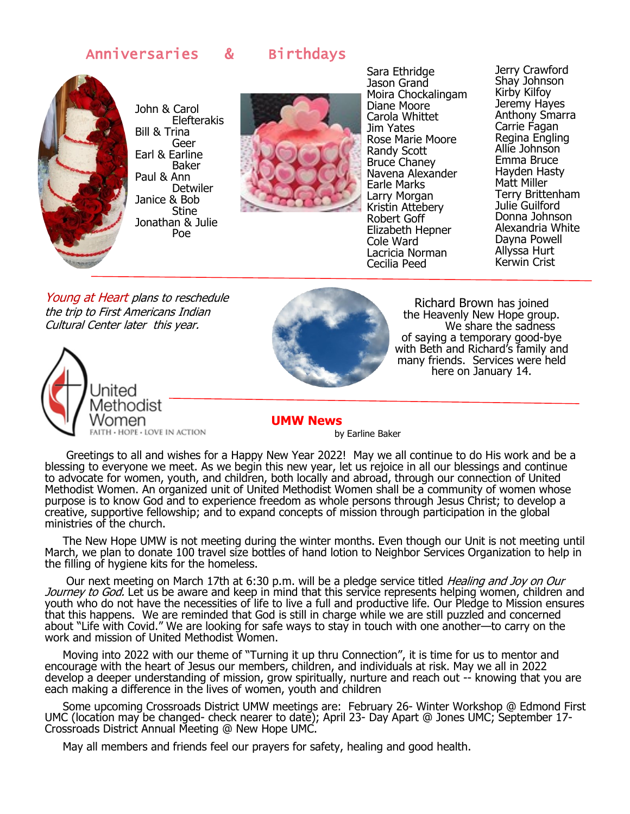## Anniversaries & Birthdays



John & Carol Elefterakis Bill & Trina Geer Earl & Earline Baker Paul & Ann Detwiler Janice & Bob Stine Jonathan & Julie Poe



Sara Ethridge Jason Grand Moira Chockalingam Diane Moore Carola Whittet Jim Yates Rose Marie Moore Randy Scott Bruce Chaney Navena Alexander Earle Marks Larry Morgan Kristin Attebery Robert Goff Elizabeth Hepner Cole Ward Lacricia Norman Cecilia Peed

Jerry Crawford Shay Johnson Kirby Kilfoy Jeremy Hayes Anthony Smarra Carrie Fagan Regina Engling Allie Johnson Emma Bruce Hayden Hasty Matt Miller Terry Brittenham Julie Guilford Donna Johnson Alexandria White Dayna Powell Allyssa Hurt Kerwin Crist

Young at Heart plans to reschedule the trip to First Americans Indian Cultural Center later this year.





Richard Brown has joined the Heavenly New Hope group. We share the sadness of saying a temporary good-bye with Beth and Richard's family and many friends. Services were held here on January 14.

 **UMW News** 

by Earline Baker

 Greetings to all and wishes for a Happy New Year 2022! May we all continue to do His work and be a blessing to everyone we meet. As we begin this new year, let us rejoice in all our blessings and continue to advocate for women, youth, and children, both locally and abroad, through our connection of United Methodist Women. An organized unit of United Methodist Women shall be a community of women whose purpose is to know God and to experience freedom as whole persons through Jesus Christ; to develop a creative, supportive fellowship; and to expand concepts of mission through participation in the global ministries of the church.

 The New Hope UMW is not meeting during the winter months. Even though our Unit is not meeting until March, we plan to donate 100 travel size bottles of hand lotion to Neighbor Services Organization to help in the filling of hygiene kits for the homeless.

Our next meeting on March 17th at 6:30 p.m. will be a pledge service titled *Healing and Joy on Our* Journey to God. Let us be aware and keep in mind that this service represents helping women, children and youth who do not have the necessities of life to live a full and productive life. Our Pledge to Mission ensures that this happens. We are reminded that God is still in charge while we are still puzzled and concerned about "Life with Covid." We are looking for safe ways to stay in touch with one another—to carry on the work and mission of United Methodist Women.

 Moving into 2022 with our theme of "Turning it up thru Connection", it is time for us to mentor and encourage with the heart of Jesus our members, children, and individuals at risk. May we all in 2022 develop a deeper understanding of mission, grow spiritually, nurture and reach out -- knowing that you are each making a difference in the lives of women, youth and children

 Some upcoming Crossroads District UMW meetings are: February 26- Winter Workshop @ Edmond First UMC (location may be changed- check nearer to date); April 23- Day Apart @ Jones UMC; September 17- Crossroads District Annual Meeting @ New Hope UMC.

May all members and friends feel our prayers for safety, healing and good health.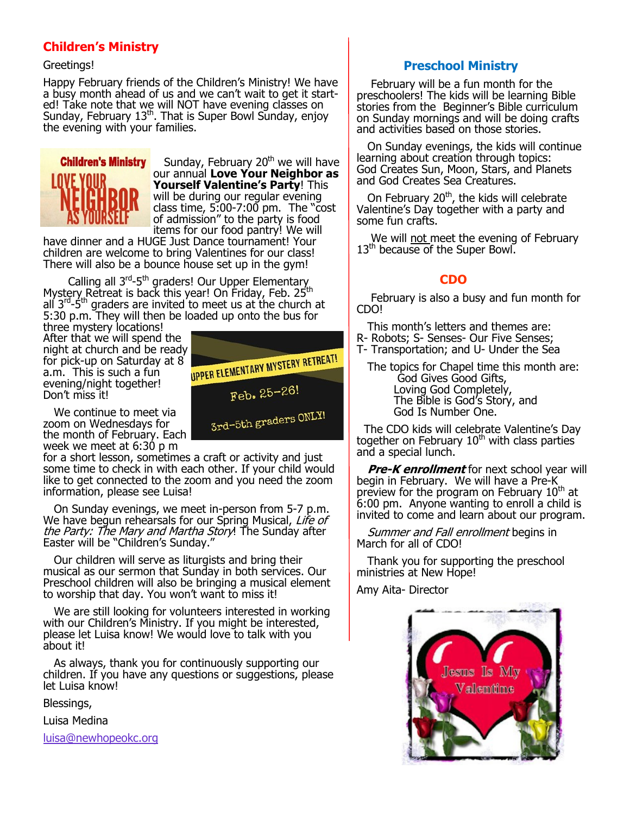## **Children's Ministry**

#### Greetings!

Happy February friends of the Children's Ministry! We have a busy month ahead of us and we can't wait to get it started! Take note that we will NOT have evening classes on Sunday, February 13<sup>th</sup>. That is Super Bowl Sunday, enjoy the evening with your families.



Sunday, February  $20<sup>th</sup>$  we will have our annual **Love Your Neighbor as Yourself Valentine's Party**! This will be during our regular evening class time,  $5.00 - 7:00$  pm. The "cost" of admission" to the party is food items for our food pantry! We will

have dinner and a HUGE Just Dance tournament! Your children are welcome to bring Valentines for our class! There will also be a bounce house set up in the gym!

Calling all 3<sup>rd</sup>-5<sup>th</sup> graders! Our Upper Elementary Mystery Retreat is back this year! On Friday, Feb. 25<sup>th</sup> all 3<sup>rd</sup>-5<sup>th</sup> graders are invited to meet us at the church at 5:30 p.m. They will then be loaded up onto the bus for

three mystery locations! After that we will spend the for pick-up on Saturday at 8 a.m. This is such a fun evening/night together! Don't miss it!



for a short lesson, sometimes a craft or activity and just some time to check in with each other. If your child would like to get connected to the zoom and you need the zoom information, please see Luisa!

 On Sunday evenings, we meet in-person from 5-7 p.m. We have begun rehearsals for our Spring Musical, Life of the Party: The Mary and Martha Story! The Sunday after Easter will be "Children's Sunday."

 Our children will serve as liturgists and bring their musical as our sermon that Sunday in both services. Our Preschool children will also be bringing a musical element to worship that day. You won't want to miss it!

 We are still looking for volunteers interested in working with our Children's Ministry. If you might be interested, please let Luisa know! We would love to talk with you about it!

 As always, thank you for continuously supporting our children. If you have any questions or suggestions, please let Luisa know!

Blessings,

Luisa Medina

[luisa@newhopeokc.org](mailto:luisa@newhopeokc.org)



## **Preschool Ministry**

 February will be a fun month for the preschoolers! The kids will be learning Bible stories from the Beginner's Bible curriculum on Sunday mornings and will be doing crafts and activities based on those stories.

 On Sunday evenings, the kids will continue learning about creation through topics: God Creates Sun, Moon, Stars, and Planets and God Creates Sea Creatures.

On February  $20<sup>th</sup>$ , the kids will celebrate Valentine's Day together with a party and some fun crafts.

We will not meet the evening of February 13<sup>th</sup> because of the Super Bowl.

## **CDO**

 February is also a busy and fun month for CDO!

This month's letters and themes are:

- R- Robots; S- Senses- Our Five Senses;
- T- Transportation; and U- Under the Sea

 The topics for Chapel time this month are: God Gives Good Gifts, Loving God Completely, The Bible is God's Story, and God Is Number One.

 The CDO kids will celebrate Valentine's Day together on February  $10<sup>th</sup>$  with class parties and a special lunch.

 **Pre-K enrollment** for next school year will begin in February. We will have a Pre-K preview for the program on February 10<sup>th</sup> at 6:00 pm. Anyone wanting to enroll a child is invited to come and learn about our program.

Summer and Fall enrollment begins in March for all of CDO!

 Thank you for supporting the preschool ministries at New Hope!

Amy Aita- Director